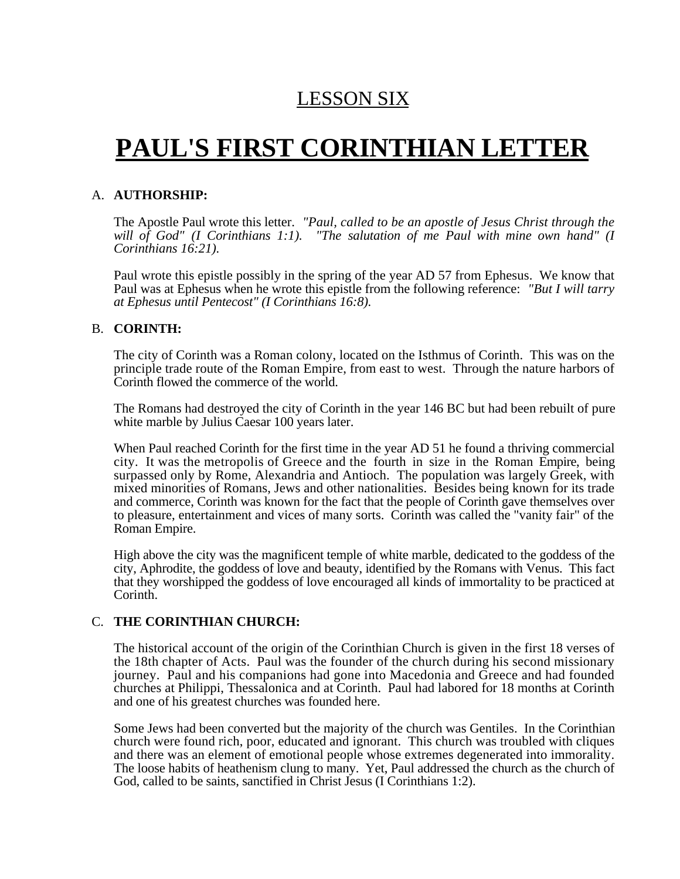# LESSON SIX

# **PAUL'S FIRST CORINTHIAN LETTER**

## A. **AUTHORSHIP:**

The Apostle Paul wrote this letter. *"Paul, called to be an apostle of Jesus Christ through the* will of God" (I Corinthians 1:1). "The salutation of me Paul with mine own hand" (I *Corinthians 16:21).*

Paul wrote this epistle possibly in the spring of the year AD 57 from Ephesus. We know that Paul was at Ephesus when he wrote this epistle from the following reference: *"But I will tarry at Ephesus until Pentecost" (I Corinthians 16:8).*

## B. **CORINTH:**

The city of Corinth was a Roman colony, located on the Isthmus of Corinth. This was on the principle trade route of the Roman Empire, from east to west. Through the nature harbors of Corinth flowed the commerce of the world.

The Romans had destroyed the city of Corinth in the year 146 BC but had been rebuilt of pure white marble by Julius Caesar 100 years later.

When Paul reached Corinth for the first time in the year AD 51 he found a thriving commercial city. It was the metropolis of Greece and the fourth in size in the Roman Empire, being surpassed only by Rome, Alexandria and Antioch. The population was largely Greek, with mixed minorities of Romans, Jews and other nationalities. Besides being known for its trade and commerce, Corinth was known for the fact that the people of Corinth gave themselves over to pleasure, entertainment and vices of many sorts. Corinth was called the "vanity fair" of the Roman Empire.

High above the city was the magnificent temple of white marble, dedicated to the goddess of the city, Aphrodite, the goddess of love and beauty, identified by the Romans with Venus. This fact that they worshipped the goddess of love encouraged all kinds of immortality to be practiced at Corinth.

## C. **THE CORINTHIAN CHURCH:**

The historical account of the origin of the Corinthian Church is given in the first 18 verses of the 18th chapter of Acts. Paul was the founder of the church during his second missionary journey. Paul and his companions had gone into Macedonia and Greece and had founded churches at Philippi, Thessalonica and at Corinth. Paul had labored for 18 months at Corinth and one of his greatest churches was founded here.

Some Jews had been converted but the majority of the church was Gentiles. In the Corinthian church were found rich, poor, educated and ignorant. This church was troubled with cliques and there was an element of emotional people whose extremes degenerated into immorality. The loose habits of heathenism clung to many. Yet, Paul addressed the church as the church of God, called to be saints, sanctified in Christ Jesus (I Corinthians 1:2).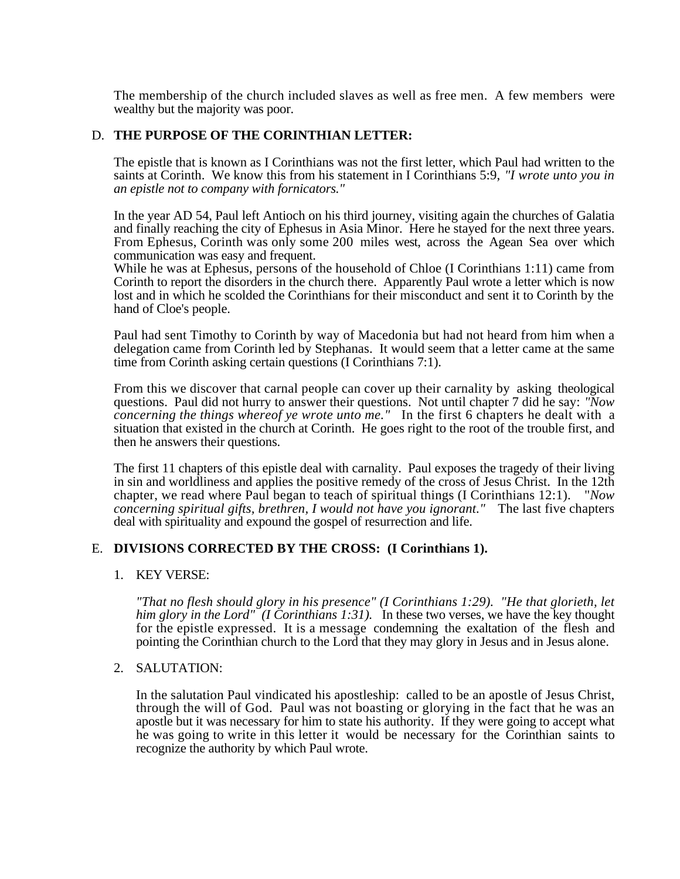The membership of the church included slaves as well as free men. A few members were wealthy but the majority was poor.

## D. **THE PURPOSE OF THE CORINTHIAN LETTER:**

The epistle that is known as I Corinthians was not the first letter, which Paul had written to the saints at Corinth. We know this from his statement in I Corinthians 5:9, *"I wrote unto you in an epistle not to company with fornicators."*

In the year AD 54, Paul left Antioch on his third journey, visiting again the churches of Galatia and finally reaching the city of Ephesus in Asia Minor. Here he stayed for the next three years. From Ephesus, Corinth was only some 200 miles west, across the Agean Sea over which communication was easy and frequent.

While he was at Ephesus, persons of the household of Chloe (I Corinthians 1:11) came from Corinth to report the disorders in the church there. Apparently Paul wrote a letter which is now lost and in which he scolded the Corinthians for their misconduct and sent it to Corinth by the hand of Cloe's people.

Paul had sent Timothy to Corinth by way of Macedonia but had not heard from him when a delegation came from Corinth led by Stephanas. It would seem that a letter came at the same time from Corinth asking certain questions (I Corinthians 7:1).

From this we discover that carnal people can cover up their carnality by asking theological questions. Paul did not hurry to answer their questions. Not until chapter 7 did he say: *"Now concerning the things whereof ye wrote unto me."* In the first 6 chapters he dealt with a situation that existed in the church at Corinth. He goes right to the root of the trouble first, and then he answers their questions.

The first 11 chapters of this epistle deal with carnality. Paul exposes the tragedy of their living in sin and worldliness and applies the positive remedy of the cross of Jesus Christ. In the 12th chapter, we read where Paul began to teach of spiritual things (I Corinthians 12:1). "*Now concerning spiritual gifts, brethren, I would not have you ignorant."* The last five chapters deal with spirituality and expound the gospel of resurrection and life.

#### E. **DIVISIONS CORRECTED BY THE CROSS: (I Corinthians 1).**

#### 1. KEY VERSE:

*"That no flesh should glory in his presence" (I Corinthians 1:29). "He that glorieth, let him glory in the Lord" (I Corinthians 1:31).* In these two verses, we have the key thought for the epistle expressed. It is a message condemning the exaltation of the flesh and pointing the Corinthian church to the Lord that they may glory in Jesus and in Jesus alone.

#### 2. SALUTATION:

In the salutation Paul vindicated his apostleship: called to be an apostle of Jesus Christ, through the will of God. Paul was not boasting or glorying in the fact that he was an apostle but it was necessary for him to state his authority. If they were going to accept what he was going to write in this letter it would be necessary for the Corinthian saints to recognize the authority by which Paul wrote.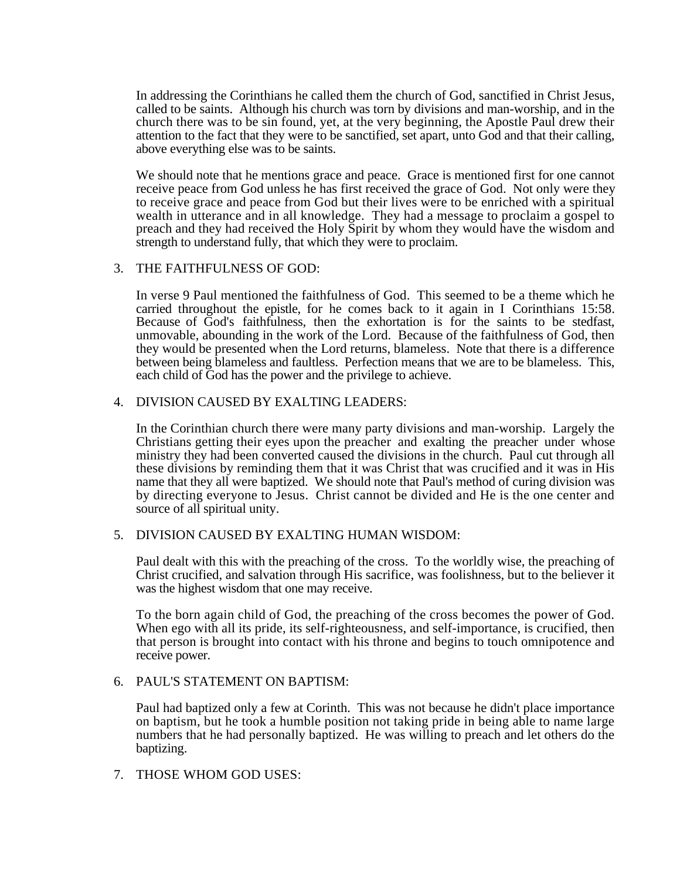In addressing the Corinthians he called them the church of God, sanctified in Christ Jesus, called to be saints. Although his church was torn by divisions and man-worship, and in the church there was to be sin found, yet, at the very beginning, the Apostle Paul drew their attention to the fact that they were to be sanctified, set apart, unto God and that their calling, above everything else was to be saints.

We should note that he mentions grace and peace. Grace is mentioned first for one cannot receive peace from God unless he has first received the grace of God. Not only were they to receive grace and peace from God but their lives were to be enriched with a spiritual wealth in utterance and in all knowledge. They had a message to proclaim a gospel to preach and they had received the Holy Spirit by whom they would have the wisdom and strength to understand fully, that which they were to proclaim.

#### 3. THE FAITHFULNESS OF GOD:

In verse 9 Paul mentioned the faithfulness of God. This seemed to be a theme which he carried throughout the epistle, for he comes back to it again in I Corinthians 15:58. Because of God's faithfulness, then the exhortation is for the saints to be stedfast, unmovable, abounding in the work of the Lord. Because of the faithfulness of God, then they would be presented when the Lord returns, blameless. Note that there is a difference between being blameless and faultless. Perfection means that we are to be blameless. This, each child of God has the power and the privilege to achieve.

#### 4. DIVISION CAUSED BY EXALTING LEADERS:

In the Corinthian church there were many party divisions and man-worship. Largely the Christians getting their eyes upon the preacher and exalting the preacher under whose ministry they had been converted caused the divisions in the church. Paul cut through all these divisions by reminding them that it was Christ that was crucified and it was in His name that they all were baptized. We should note that Paul's method of curing division was by directing everyone to Jesus. Christ cannot be divided and He is the one center and source of all spiritual unity.

#### 5. DIVISION CAUSED BY EXALTING HUMAN WISDOM:

Paul dealt with this with the preaching of the cross. To the worldly wise, the preaching of Christ crucified, and salvation through His sacrifice, was foolishness, but to the believer it was the highest wisdom that one may receive.

To the born again child of God, the preaching of the cross becomes the power of God. When ego with all its pride, its self-righteousness, and self-importance, is crucified, then that person is brought into contact with his throne and begins to touch omnipotence and receive power.

#### 6. PAUL'S STATEMENT ON BAPTISM:

Paul had baptized only a few at Corinth. This was not because he didn't place importance on baptism, but he took a humble position not taking pride in being able to name large numbers that he had personally baptized. He was willing to preach and let others do the baptizing.

#### 7. THOSE WHOM GOD USES: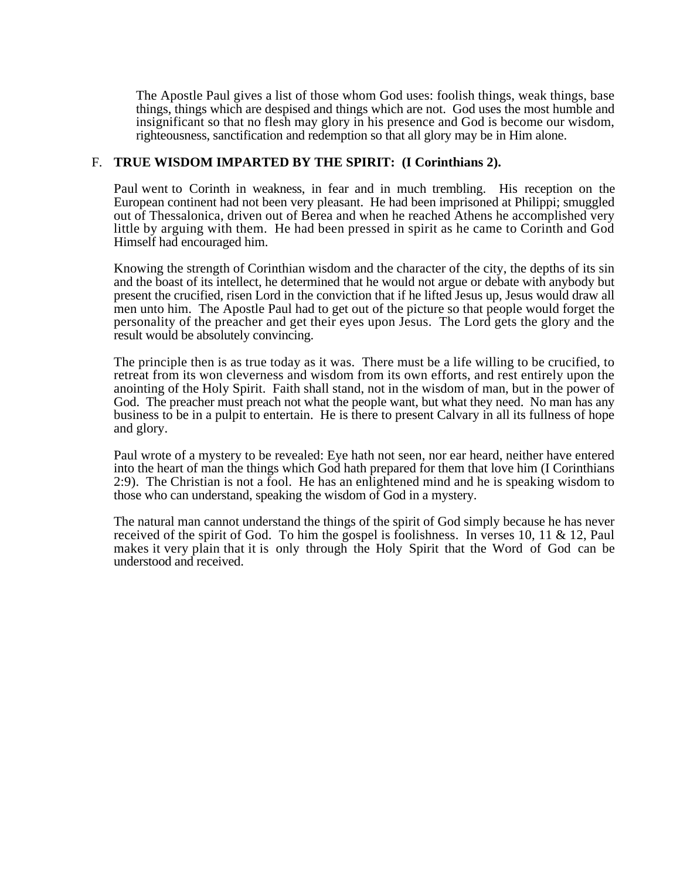The Apostle Paul gives a list of those whom God uses: foolish things, weak things, base things, things which are despised and things which are not. God uses the most humble and insignificant so that no flesh may glory in his presence and God is become our wisdom, righteousness, sanctification and redemption so that all glory may be in Him alone.

#### F. **TRUE WISDOM IMPARTED BY THE SPIRIT: (I Corinthians 2).**

Paul went to Corinth in weakness, in fear and in much trembling. His reception on the European continent had not been very pleasant. He had been imprisoned at Philippi; smuggled out of Thessalonica, driven out of Berea and when he reached Athens he accomplished very little by arguing with them. He had been pressed in spirit as he came to Corinth and God Himself had encouraged him.

Knowing the strength of Corinthian wisdom and the character of the city, the depths of its sin and the boast of its intellect, he determined that he would not argue or debate with anybody but present the crucified, risen Lord in the conviction that if he lifted Jesus up, Jesus would draw all men unto him. The Apostle Paul had to get out of the picture so that people would forget the personality of the preacher and get their eyes upon Jesus. The Lord gets the glory and the result would be absolutely convincing.

The principle then is as true today as it was. There must be a life willing to be crucified, to retreat from its won cleverness and wisdom from its own efforts, and rest entirely upon the anointing of the Holy Spirit. Faith shall stand, not in the wisdom of man, but in the power of God. The preacher must preach not what the people want, but what they need. No man has any business to be in a pulpit to entertain. He is there to present Calvary in all its fullness of hope and glory.

Paul wrote of a mystery to be revealed: Eye hath not seen, nor ear heard, neither have entered into the heart of man the things which God hath prepared for them that love him (I Corinthians 2:9). The Christian is not a fool. He has an enlightened mind and he is speaking wisdom to those who can understand, speaking the wisdom of God in a mystery.

The natural man cannot understand the things of the spirit of God simply because he has never received of the spirit of God. To him the gospel is foolishness. In verses 10, 11 & 12, Paul makes it very plain that it is only through the Holy Spirit that the Word of God can be understood and received.